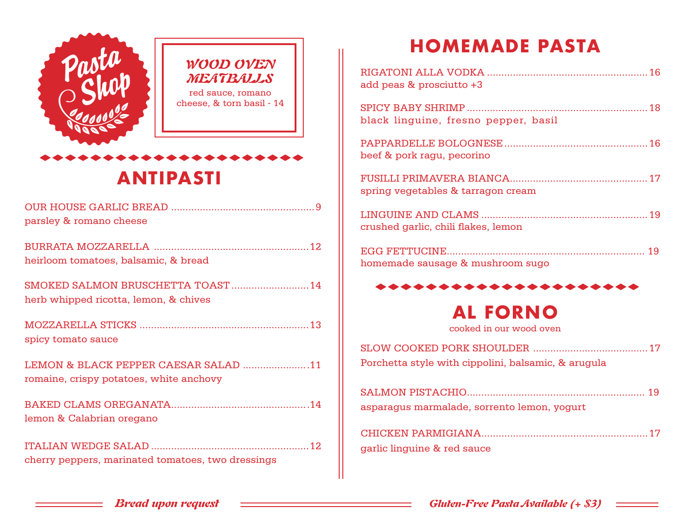

# **ANTIPASTI**

| parsley & romano cheese                                                         |  |
|---------------------------------------------------------------------------------|--|
| heirloom tomatoes, balsamic, & bread                                            |  |
| SMOKED SALMON BRUSCHETTA TOAST  14<br>herb whipped ricotta, lemon, & chives     |  |
| spicy tomato sauce                                                              |  |
| LEMON & BLACK PEPPER CAESAR SALAD 11<br>romaine, crispy potatoes, white anchovy |  |
| lemon & Calabrian oregano                                                       |  |
| cherry peppers, marinated tomatoes, two dressings                               |  |

## **HOMEMADE PASTA**

| add peas & prosciutto +3             |
|--------------------------------------|
| black linguine, fresno pepper, basil |
| beef & pork ragu, pecorino           |
| spring vegetables & tarragon cream   |
| crushed garlic, chili flakes, lemon  |
| homemade sausage & mushroom sugo     |
| *******************                  |

## **AL FORNO**

cooked in our wood oven

SLOW COOKED PORK SHOULDER ........................................17 Porchetta style with cippolini, balsamic, & arugula

| asparagus marmalade, sorrento lemon, yogurt |  |
|---------------------------------------------|--|

| garlic linguine & red sauce |  |
|-----------------------------|--|